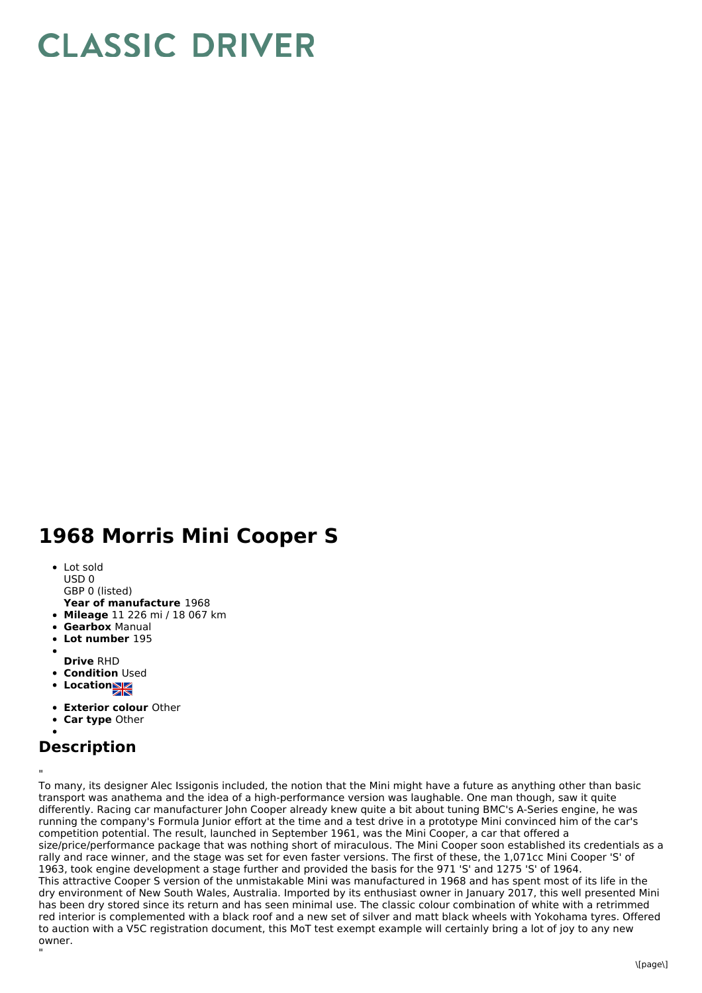## **CLASSIC DRIVER**

## **1968 Morris Mini Cooper S**

- Lot sold
- USD 0
- GBP 0 (listed)
- **Year of manufacture** 1968
- **Mileage** 11 226 mi / 18 067 km
- **Gearbox** Manual
- **Lot number** 195
- **Drive** RHD
- **Condition Used**
- **Locations**
- 
- **Exterior colour** Other
- **Car type** Other

## **Description**

"

" To many, its designer Alec Issigonis included, the notion that the Mini might have a future as anything other than basic transport was anathema and the idea of a high-performance version was laughable. One man though, saw it quite differently. Racing car manufacturer John Cooper already knew quite a bit about tuning BMC's A-Series engine, he was running the company's Formula Junior effort at the time and a test drive in a prototype Mini convinced him of the car's competition potential. The result, launched in September 1961, was the Mini Cooper, a car that offered a size/price/performance package that was nothing short of miraculous. The Mini Cooper soon established its credentials as a rally and race winner, and the stage was set for even faster versions. The first of these, the 1,071cc Mini Cooper 'S' of 1963, took engine development a stage further and provided the basis for the 971 'S' and 1275 'S' of 1964. This attractive Cooper S version of the unmistakable Mini was manufactured in 1968 and has spent most of its life in the dry environment of New South Wales, Australia. Imported by its enthusiast owner in January 2017, this well presented Mini has been dry stored since its return and has seen minimal use. The classic colour combination of white with a retrimmed red interior is complemented with a black roof and a new set of silver and matt black wheels with Yokohama tyres. Offered to auction with a V5C registration document, this MoT test exempt example will certainly bring a lot of joy to any new owner.